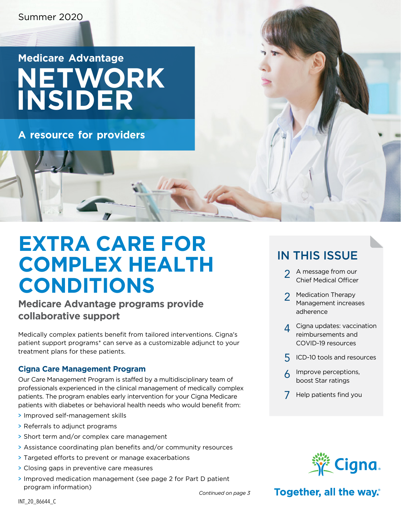## **Medicare Advantage NETWORK INSIDER**

**A resource for providers**

## **EXTRA CARE FOR COMPLEX HEALTH CONDITIONS**

#### **Medicare Advantage programs provide collaborative support**

Medically complex patients benefit from tailored interventions. Cigna's patient support programs\* can serve as a customizable adjunct to your treatment plans for these patients.

#### **Cigna Care Management Program**

Our Care Management Program is staffed by a multidisciplinary team of professionals experienced in the clinical management of medically complex patients. The program enables early intervention for your Cigna Medicare patients with diabetes or behavioral health needs who would benefit from:

- > Improved self-management skills
- > Referrals to adjunct programs
- > Short term and/or complex care management
- > Assistance coordinating plan benefits and/or community resources
- > Targeted efforts to prevent or manage exacerbations
- > Closing gaps in preventive care measures
- > Improved medication management (see [page 2](#page-1-0) for Part D patient program information)

### IN THIS ISSUE

- [2](#page-1-0) A message from our Chief Medical Officer
- [2](#page-1-0) Medication Therapy Management increases adherence
- **[4](#page-3-0)** Cigna updates: vaccination reimbursements and COVID-19 resources
- [5](#page-4-0) ICD-10 tools and resources
- [6](#page-5-0) Improve perceptions, boost Star ratings
- [7](#page-6-0) Help patients find you



#### Together, all the way.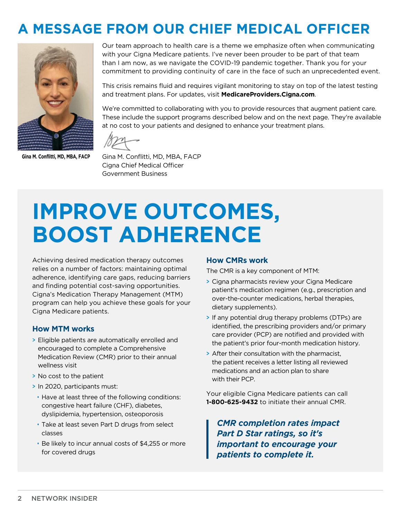### <span id="page-1-0"></span>**A MESSAGE FROM OUR CHIEF MEDICAL OFFICER**



**Gina M. Conflitti, MD, MBA, FACP**

Our team approach to health care is a theme we emphasize often when communicating with your Cigna Medicare patients. I've never been prouder to be part of that team than I am now, as we navigate the COVID-19 pandemic together. Thank you for your commitment to providing continuity of care in the face of such an unprecedented event.

This crisis remains fluid and requires vigilant monitoring to stay on top of the latest testing and treatment plans. For updates, visit **[MedicareProviders.Cigna.com](http://MedicareProviders.Cigna.com)**.

We're committed to collaborating with you to provide resources that augment patient care. These include the support programs described below and on the next [page.](#page-2-0) They're available at no cost to your patients and designed to enhance your treatment plans.

Gina M. Conflitti, MD, MBA, FACP Cigna Chief Medical Officer Government Business

# **IMPROVE OUTCOMES, BOOST ADHERENCE**

Achieving desired medication therapy outcomes relies on a number of factors: maintaining optimal adherence, identifying care gaps, reducing barriers and finding potential cost-saving opportunities. Cigna's Medication Therapy Management (MTM) program can help you achieve these goals for your Cigna Medicare patients.

#### **How MTM works**

- > Eligible patients are automatically enrolled and encouraged to complete a Comprehensive Medication Review (CMR) prior to their annual wellness visit
- > No cost to the patient
- > In 2020, participants must:
	- Have at least three of the following conditions: congestive heart failure (CHF), diabetes, dyslipidemia, hypertension, osteoporosis
	- Take at least seven Part D drugs from select classes
	- Be likely to incur annual costs of \$4,255 or more for covered drugs

#### **How CMRs work**

The CMR is a key component of MTM:

- > Cigna pharmacists review your Cigna Medicare patient's medication regimen (e.g., prescription and over-the-counter medications, herbal therapies, dietary supplements).
- > If any potential drug therapy problems (DTPs) are identified, the prescribing providers and/or primary care provider (PCP) are notified and provided with the patient's prior four-month medication history.
- > After their consultation with the pharmacist, the patient receives a letter listing all reviewed medications and an action plan to share with their PCP.

Your eligible Cigna Medicare patients can call **1-800-625-9432** to initiate their annual CMR.

*CMR completion rates impact Part D Star ratings, so it's important to encourage your patients to complete it.*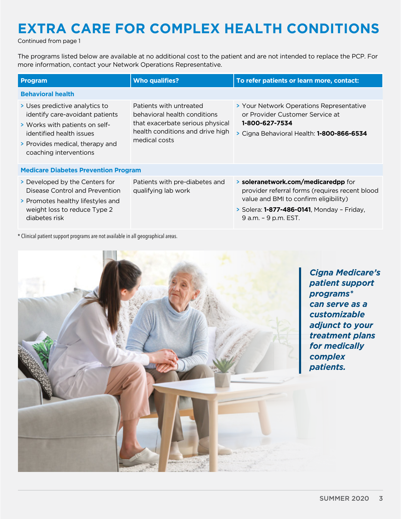## <span id="page-2-0"></span>**EXTRA CARE FOR COMPLEX HEALTH CONDITIONS**

Continued from page 1

The programs listed below are available at no additional cost to the patient and are not intended to replace the PCP. For more information, contact your Network Operations Representative.

| Program                                                                                                                                                                                      | <b>Who qualifies?</b>                                                                                                                            | To refer patients or learn more, contact:                                                                                                                                                                    |  |
|----------------------------------------------------------------------------------------------------------------------------------------------------------------------------------------------|--------------------------------------------------------------------------------------------------------------------------------------------------|--------------------------------------------------------------------------------------------------------------------------------------------------------------------------------------------------------------|--|
| <b>Behavioral health</b>                                                                                                                                                                     |                                                                                                                                                  |                                                                                                                                                                                                              |  |
| > Uses predictive analytics to<br>identify care-avoidant patients<br>> Works with patients on self-<br>identified health issues<br>> Provides medical, therapy and<br>coaching interventions | Patients with untreated<br>behavioral health conditions<br>that exacerbate serious physical<br>health conditions and drive high<br>medical costs | > Your Network Operations Representative<br>or Provider Customer Service at<br>1-800-627-7534<br>> Cigna Behavioral Health: 1-800-866-6534                                                                   |  |
| <b>Medicare Diabetes Prevention Program</b>                                                                                                                                                  |                                                                                                                                                  |                                                                                                                                                                                                              |  |
| Developed by the Centers for<br>Disease Control and Prevention<br>> Promotes healthy lifestyles and<br>weight loss to reduce Type 2<br>diabetes risk                                         | Patients with pre-diabetes and<br>qualifying lab work                                                                                            | > soleranetwork.com/medicaredpp for<br>provider referral forms (requires recent blood<br>value and BMI to confirm eligibility)<br>> Solera: <b>1-877-486-0141</b> , Monday - Friday,<br>9 a.m. - 9 p.m. EST. |  |

\* Clinical patient support programs are not available in all geographical areas.

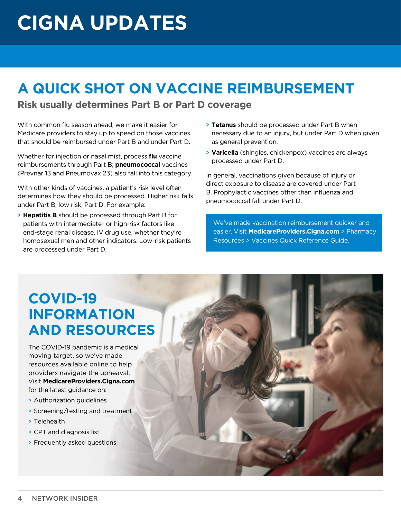# <span id="page-3-0"></span>**CIGNA UPDATES**

## **A QUICK SHOT ON VACCINE REIMBURSEMENT**

**Risk usually determines Part B or Part D coverage**

With common flu season ahead, we make it easier for Medicare providers to stay up to speed on those vaccines that should be reimbursed under Part B and under Part D.

Whether for injection or nasal mist, process **flu** vaccine reimbursements through Part B; **pneumococcal** vaccines (Prevnar 13 and Pneumovax 23) also fall into this category.

With other kinds of vaccines, a patient's risk level often determines how they should be processed. Higher risk falls under Part B; low risk, Part D. For example:

> **Hepatitis B** should be processed through Part B for patients with intermediate- or high-risk factors like end-stage renal disease, IV drug use, whether they're homosexual men and other indicators. Low-risk patients are processed under Part D.

- > **Tetanus** should be processed under Part B when necessary due to an injury, but under Part D when given as general prevention.
- > **Varicella** (shingles, chickenpox) vaccines are always processed under Part D.

In general, vaccinations given because of injury or direct exposure to disease are covered under Part B. Prophylactic vaccines other than influenza and pneumococcal fall under Part D.

We've made vaccination reimbursement quicker and easier. Visit **[MedicareProviders.Cigna.com](https://medicareproviders.cigna.com/)** > Pharmacy Resources > Vaccines Quick Reference Guide.

### **COVID-19 INFORMATION AND RESOURCES**

The COVID-19 pandemic is a medical moving target, so we've made resources available online to help providers navigate the upheaval. Visit **[MedicareProviders.Cigna.com](https://medicareproviders.cigna.com/)** for the latest guidance on:

- > Authorization guidelines
- > Screening/testing and treatment
- > Telehealth
- > CPT and diagnosis list
- > Frequently asked questions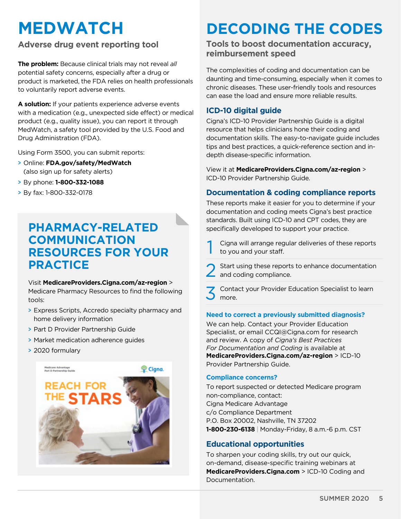## <span id="page-4-0"></span>**MEDWATCH**

#### **Adverse drug event reporting tool**

**The problem:** Because clinical trials may not reveal *all* potential safety concerns, especially after a drug or product is marketed, the FDA relies on health professionals to voluntarily report adverse events.

**A solution:** If your patients experience adverse events with a medication (e.g., unexpected side effect) or medical product (e.g., quality issue), you can report it through MedWatch, a safety tool provided by the U.S. Food and Drug Administration (FDA).

Using Form 3500, you can submit reports:

- > Online: **[FDA.gov/safety/MedWatch](https://www.fda.gov/safety/medwatch-fda-safety-information-and-adverse-event-reporting-program)** (also sign up for safety alerts)
- > By phone: **1-800-332-1088**
- > By fax: 1-800-332-0178

#### **PHARMACY-RELATED COMMUNICATION RESOURCES FOR YOUR PRACTICE**

Visit **[MedicareProviders.Cigna.com/az-region](http://MedicareProviders.Cigna.com/az-region)** > Medicare Pharmacy Resources to find the following tools:

- > Express Scripts, Accredo specialty pharmacy and home delivery information
- > Part D Provider Partnership Guide
- > Market medication adherence guides
- > 2020 formulary



## **DECODING THE CODES**

#### **Tools to boost documentation accuracy, reimbursement speed**

The complexities of coding and documentation can be daunting and time-consuming, especially when it comes to chronic diseases. These user-friendly tools and resources can ease the load and ensure more reliable results.

#### **ICD-10 digital guide**

Cigna's ICD-10 Provider Partnership Guide is a digital resource that helps clinicians hone their coding and documentation skills. The easy-to-navigate guide includes tips and best practices, a quick-reference section and indepth disease-specific information.

View it at **[MedicareProviders.Cigna.com/](http://MedicareProviders.Cigna.com/az-region)az-region** > ICD-10 Provider Partnership Guide.

#### **Documentation & coding compliance reports**

These reports make it easier for you to determine if your documentation and coding meets Cigna's best practice standards. Built using ICD-10 and CPT codes, they are specifically developed to support your practice.

Cigna will arrange regular deliveries of these reports to you and your staff.

Start using these reports to enhance documentation and coding compliance.

<sup>2</sup> Contact your Provider Education Specialist to learn more.

#### **Need to correct a previously submitted diagnosis?**

We can help. Contact your Provider Education Specialist, or email [CCQI@Cigna.com](mailto:CCQI@Cigna.com) for research and review. A copy of *Cigna's Best Practices For Documentation and Coding* is available at **[MedicareProviders.Cigna.com/](https://medicareproviders.cigna.com/az-region)az-region** > ICD-10 Provider Partnership Guide.

#### **Compliance concerns?**

To report suspected or detected Medicare program non-compliance, contact: Cigna Medicare Advantage c/o Compliance Department P.O. Box 20002, Nashville, TN 37202 **1-800-230-6138** | Monday-Friday, 8 a.m.-6 p.m. CST

#### **Educational opportunities**

To sharpen your coding skills, try out our quick, on-demand, disease-specific training webinars at **[MedicareProviders.Cigna.com](http://MedicareProviders.Cigna.com)** > ICD-10 Coding and Documentation.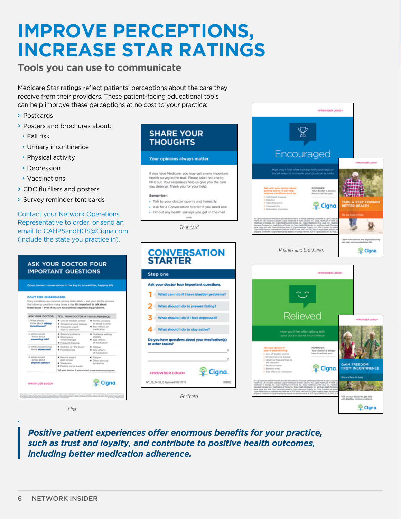## <span id="page-5-0"></span>**IMPROVE PERCEPTIONS, INCREASE STAR RATINGS**

#### **Tools you can use to communicate**

Medicare Star ratings reflect patients' perceptions about the care they receive from their providers. These patient-facing educational tools can help improve these perceptions at no cost to your practice:

- > Postcards
- > Posters and brochures about:
- Fall risk
- Urinary incontinence
- Physical activity
- Depression
- Vaccinations
- > CDC flu fliers and posters
- > Survey reminder tent cards

Contact your Network Operations Representative to order, or send an email to [CAHPSandHOS@Cigna.com](mailto:CAHPSandHOS@Cigna.com) (include the state you practice in).

### **ASK YOUR DOCTOR FOUR IMPORTANT QUESTIONS** Open, honest conversation is the key to a healthier, happier life **DON'T FEEL EMBARRASSED** to questions many times a day. It's important to talk ab-<br>is - even if you are not currently experiencing problem ASK YOUR DOCTOR: TELL YOUR DOCTOR IF YOU EXPERIENCE: Cigna. <PROVIDER LOGO> n preda angles poses a chief pedagona chief neutro sale per lei angles per le castro chief ne chief neutro chi<br>Le castro chief neutro chief neutro chief neutro chief anno composito chief neutro chief neutro per le castro

*Flier*

*Positive patient experiences offer enormous benefits for your practice, such as trust and loyalty, and contribute to positive health outcomes, including better medication adherence.*





<PROVIDER LOGO>

¥

**.**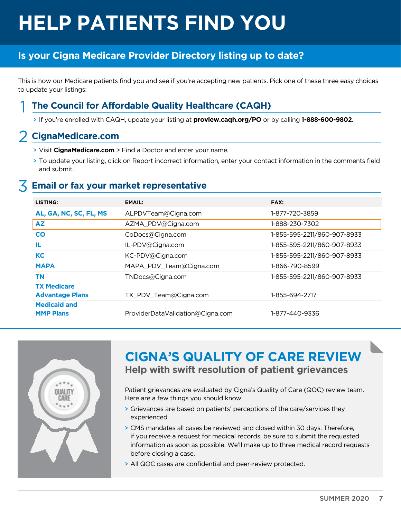# <span id="page-6-0"></span>**HELP PATIENTS FIND YOU**

#### **Is your Cigna Medicare Provider Directory listing up to date?**

This is how our Medicare patients find you and see if you're accepting new patients. Pick one of these three easy choices to update your listings:

#### 1 **The Council for Affordable Quality Healthcare (CAQH)**

> If you're enrolled with CAQH, update your listing at **[proview.caqh.org/PO](https://proview.caqh.org/PO)** or by calling **1-888-600-9802**.

#### 2 **[CignaMedicare.com](http://CignaMedicare.com)**

- > Visit **[CignaMedicare.com](http://CignaMedicare.com)** > Find a Doctor and enter your name.
- > To update your listing, click on Report incorrect information, enter your contact information in the comments field and submit.

#### 3 **Email or fax your market representative**

| LISTING:                                     | <b>EMAIL:</b>                    | FAX:                        |
|----------------------------------------------|----------------------------------|-----------------------------|
| AL, GA, NC, SC, FL, MS                       | ALPDVTeam@Cigna.com              | 1-877-720-3859              |
| <b>AZ</b>                                    | AZMA_PDV@Cigna.com               | 1-888-230-7302              |
| CO                                           | CoDocs@Cigna.com                 | 1-855-595-2211/860-907-8933 |
| IL.                                          | IL-PDV@Cigna.com                 | 1-855-595-2211/860-907-8933 |
| <b>KC</b>                                    | KC-PDV@Cigna.com                 | 1-855-595-2211/860-907-8933 |
| <b>MAPA</b>                                  | MAPA_PDV_Team@Cigna.com          | 1-866-790-8599              |
| <b>TN</b>                                    | TNDocs@Cigna.com                 | 1-855-595-2211/860-907-8933 |
| <b>TX Medicare</b><br><b>Advantage Plans</b> | TX_PDV_Team@Cigna.com            | 1-855-694-2717              |
| <b>Medicaid and</b><br><b>MMP Plans</b>      | ProviderDataValidation@Cigna.com | 1-877-440-9336              |



### **CIGNA'S QUALITY OF CARE REVIEW Help with swift resolution of patient grievances**

Patient grievances are evaluated by Cigna's Quality of Care (QOC) review team. Here are a few things you should know:

- > Grievances are based on patients' perceptions of the care/services they experienced.
- > CMS mandates all cases be reviewed and closed within 30 days. Therefore, if you receive a request for medical records, be sure to submit the requested information as soon as possible. We'll make up to three medical record requests before closing a case.
- > All QOC cases are confidential and peer-review protected.